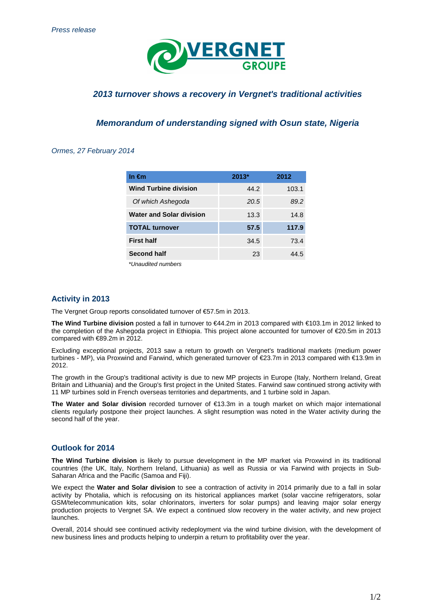

# **2013 turnover shows a recovery in Vergnet's traditional activities**

## **Memorandum of understanding signed with Osun state, Nigeria**

#### Ormes, 27 February 2014

| In $\epsilon$ m                 | $2013*$ | 2012  |
|---------------------------------|---------|-------|
| <b>Wind Turbine division</b>    | 44.2    | 103.1 |
| Of which Ashegoda               | 20.5    | 89.2  |
| <b>Water and Solar division</b> | 13.3    | 14.8  |
| <b>TOTAL turnover</b>           | 57.5    | 117.9 |
| <b>First half</b>               | 34.5    | 73.4  |
| <b>Second half</b>              | 23      | 44.5  |
| *I Inqurditad numhars           |         |       |

\*Unaudited numbers

#### **Activity in 2013**

The Vergnet Group reports consolidated turnover of €57.5m in 2013.

**The Wind Turbine division** posted a fall in turnover to €44.2m in 2013 compared with €103.1m in 2012 linked to the completion of the Ashegoda project in Ethiopia. This project alone accounted for turnover of €20.5m in 2013 compared with €89.2m in 2012.

Excluding exceptional projects, 2013 saw a return to growth on Vergnet's traditional markets (medium power turbines - MP), via Proxwind and Farwind, which generated turnover of €23.7m in 2013 compared with €13.9m in 2012.

The growth in the Group's traditional activity is due to new MP projects in Europe (Italy, Northern Ireland, Great Britain and Lithuania) and the Group's first project in the United States. Farwind saw continued strong activity with 11 MP turbines sold in French overseas territories and departments, and 1 turbine sold in Japan.

**The Water and Solar division** recorded turnover of €13.3m in a tough market on which major international clients regularly postpone their project launches. A slight resumption was noted in the Water activity during the second half of the year.

## **Outlook for 2014**

**The Wind Turbine division** is likely to pursue development in the MP market via Proxwind in its traditional countries (the UK, Italy, Northern Ireland, Lithuania) as well as Russia or via Farwind with projects in Sub-Saharan Africa and the Pacific (Samoa and Fiji).

We expect the **Water and Solar division** to see a contraction of activity in 2014 primarily due to a fall in solar activity by Photalia, which is refocusing on its historical appliances market (solar vaccine refrigerators, solar GSM/telecommunication kits, solar chlorinators, inverters for solar pumps) and leaving major solar energy production projects to Vergnet SA. We expect a continued slow recovery in the water activity, and new project launches.

Overall, 2014 should see continued activity redeployment via the wind turbine division, with the development of new business lines and products helping to underpin a return to profitability over the year.